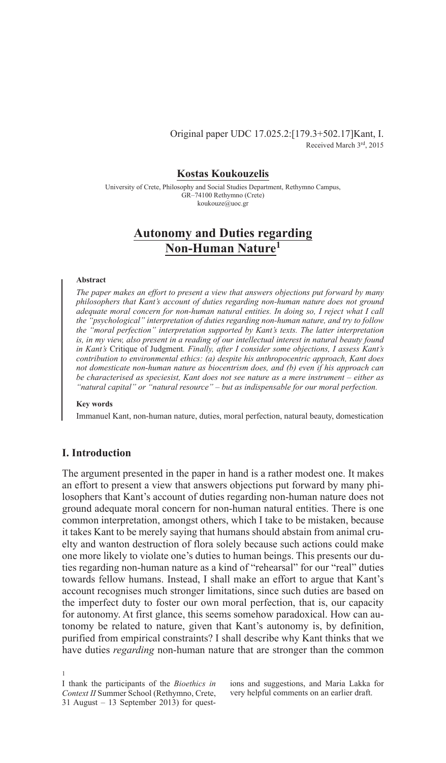# Original paper UDC 17.025.2:[179.3+502.17]Kant, I. Received March 3rd, 2015

# **Kostas Koukouzelis**

University of Crete, Philosophy and Social Studies Department, Rethymno Campus, GR–74100 Rethymno (Crete) koukouze@uoc.gr

# **Autonomy and Duties regarding Non-Human Nature1**

#### **Abstract**

*The paper makes an effort to present a view that answers objections put forward by many philosophers that Kant's account of duties regarding non-human nature does not ground adequate moral concern for non-human natural entities. In doing so, I reject what I call the "psychological" interpretation of duties regarding non-human nature, and try to follow the "moral perfection" interpretation supported by Kant's texts. The latter interpretation is, in my view, also present in a reading of our intellectual interest in natural beauty found in Kant's* Critique of Judgment*. Finally, after I consider some objections, I assess Kant's contribution to environmental ethics: (a) despite his anthropocentric approach, Kant does not domesticate non-human nature as biocentrism does, and (b) even if his approach can be characterised as speciesist, Kant does not see nature as a mere instrument – either as "natural capital" or "natural resource" – but as indispensable for our moral perfection.*

#### **Key words**

Immanuel Kant, non-human nature, duties, moral perfection, natural beauty, domestication

# **I. Introduction**

1

The argument presented in the paper in hand is a rather modest one. It makes an effort to present a view that answers objections put forward by many philosophers that Kant's account of duties regarding non-human nature does not ground adequate moral concern for non-human natural entities. There is one common interpretation, amongst others, which I take to be mistaken, because it takes Kant to be merely saying that humans should abstain from animal cruelty and wanton destruction of flora solely because such actions could make one more likely to violate one's duties to human beings. This presents our duties regarding non-human nature as a kind of "rehearsal" for our "real" duties towards fellow humans. Instead, I shall make an effort to argue that Kant's account recognises much stronger limitations, since such duties are based on the imperfect duty to foster our own moral perfection, that is, our capacity for autonomy. At first glance, this seems somehow paradoxical. How can autonomy be related to nature, given that Kant's autonomy is, by definition, purified from empirical constraints? I shall describe why Kant thinks that we have duties *regarding* non-human nature that are stronger than the common

ions and suggestions, and Maria Lakka for very helpful comments on an earlier draft.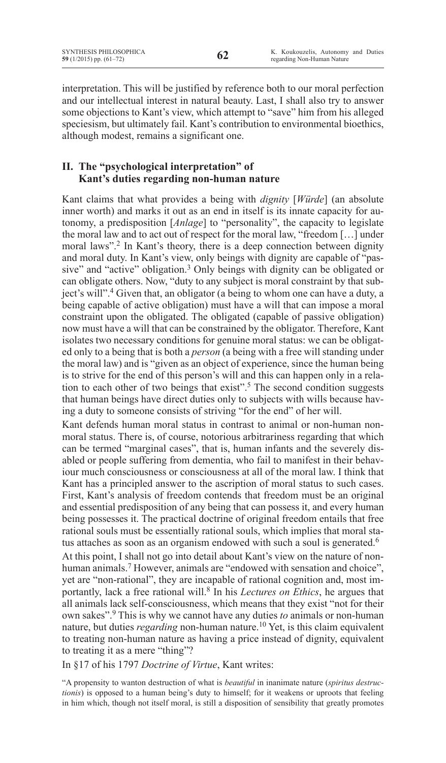interpretation. This will be justified by reference both to our moral perfection and our intellectual interest in natural beauty. Last, I shall also try to answer some objections to Kant's view, which attempt to "save" him from his alleged speciesism, but ultimately fail. Kant's contribution to environmental bioethics, although modest, remains a significant one.

# **II. The "psychological interpretation" of Kant's duties regarding non-human nature**

Kant claims that what provides a being with *dignity* [*Würde*] (an absolute inner worth) and marks it out as an end in itself is its innate capacity for autonomy, a predisposition [*Anlage*] to "personality", the capacity to legislate the moral law and to act out of respect for the moral law, "freedom […] under moral laws".<sup>2</sup> In Kant's theory, there is a deep connection between dignity and moral duty. In Kant's view, only beings with dignity are capable of "passive" and "active" obligation.<sup>3</sup> Only beings with dignity can be obligated or can obligate others. Now, "duty to any subject is moral constraint by that subject's will".4 Given that, an obligator (a being to whom one can have a duty, a being capable of active obligation) must have a will that can impose a moral constraint upon the obligated. The obligated (capable of passive obligation) now must have a will that can be constrained by the obligator. Therefore, Kant isolates two necessary conditions for genuine moral status: we can be obligated only to a being that is both a *person* (a being with a free will standing under the moral law) and is "given as an object of experience, since the human being is to strive for the end of this person's will and this can happen only in a relation to each other of two beings that exist".<sup>5</sup> The second condition suggests that human beings have direct duties only to subjects with wills because having a duty to someone consists of striving "for the end" of her will.

Kant defends human moral status in contrast to animal or non-human nonmoral status. There is, of course, notorious arbitrariness regarding that which can be termed "marginal cases", that is, human infants and the severely disabled or people suffering from dementia, who fail to manifest in their behaviour much consciousness or consciousness at all of the moral law. I think that Kant has a principled answer to the ascription of moral status to such cases. First, Kant's analysis of freedom contends that freedom must be an original and essential predisposition of any being that can possess it, and every human being possesses it. The practical doctrine of original freedom entails that free rational souls must be essentially rational souls, which implies that moral status attaches as soon as an organism endowed with such a soul is generated.<sup>6</sup>

At this point, I shall not go into detail about Kant's view on the nature of nonhuman animals.<sup>7</sup> However, animals are "endowed with sensation and choice", yet are "non-rational", they are incapable of rational cognition and, most importantly, lack a free rational will.8 In his *Lectures on Ethics*, he argues that all animals lack self-consciousness, which means that they exist "not for their own sakes".<sup>9</sup> This is why we cannot have any duties *to* animals or non-human nature, but duties *regarding* non-human nature.<sup>10</sup> Yet, is this claim equivalent to treating non-human nature as having a price instead of dignity, equivalent to treating it as a mere "thing"?

In §17 of his 1797 *Doctrine of Virtue*, Kant writes:

"A propensity to wanton destruction of what is *beautiful* in inanimate nature (*spiritus destructionis*) is opposed to a human being's duty to himself; for it weakens or uproots that feeling in him which, though not itself moral, is still a disposition of sensibility that greatly promotes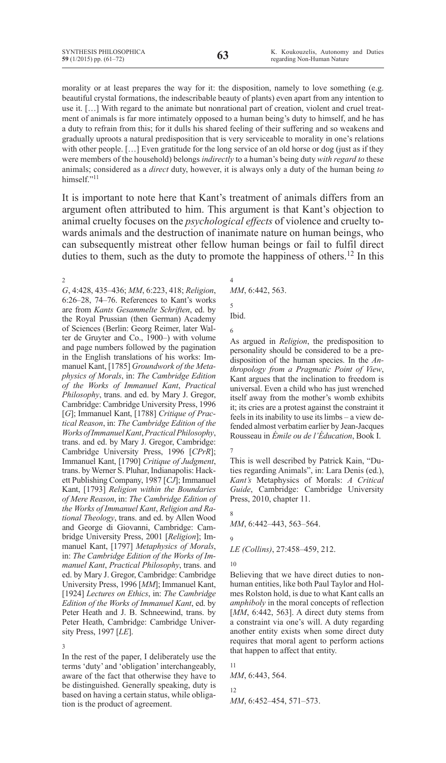morality or at least prepares the way for it: the disposition, namely to love something (e.g. beautiful crystal formations, the indescribable beauty of plants) even apart from any intention to use it. […] With regard to the animate but nonrational part of creation, violent and cruel treatment of animals is far more intimately opposed to a human being's duty to himself, and he has a duty to refrain from this; for it dulls his shared feeling of their suffering and so weakens and gradually uproots a natural predisposition that is very serviceable to morality in one's relations with other people. [...] Even gratitude for the long service of an old horse or dog (just as if they were members of the household) belongs *indirectly* to a human's being duty *with regard to* these animals; considered as a *direct* duty, however, it is always only a duty of the human being *to*  himself."<sup>11</sup>

It is important to note here that Kant's treatment of animals differs from an argument often attributed to him. This argument is that Kant's objection to animal cruelty focuses on the *psychological effects* of violence and cruelty towards animals and the destruction of inanimate nature on human beings, who can subsequently mistreat other fellow human beings or fail to fulfil direct duties to them, such as the duty to promote the happiness of others.<sup>12</sup> In this

2 *G*, 4:428, 435–436; *MM*, 6:223, 418; *Religion*, 6:26–28, 74–76. References to Kant's works are from *Kants Gesammelte Schriften*, ed. by the Royal Prussian (then German) Academy of Sciences (Berlin: Georg Reimer, later Walter de Gruyter and Co., 1900–) with volume and page numbers followed by the pagination in the English translations of his works: Immanuel Kant, [1785] *Groundwork of the Metaphysics of Morals*, in: *The Cambridge Edition of the Works of Immanuel Kant*, *Practical Philosophy*, trans. and ed. by Mary J. Gregor, Cambridge: Cambridge University Press, 1996 [*G*]; Immanuel Kant, [1788] *Critique of Practical Reason*, in: *The Cambridge Edition of the Works of Immanuel Kant*, *Practical Philosophy*, trans. and ed. by Mary J. Gregor, Cambridge: Cambridge University Press, 1996 [*CPrR*]; Immanuel Kant, [1790] *Critique of Judgment*, trans. by Werner S. Pluhar, Indianapolis: Hackett Publishing Company, 1987 [*CJ*]; Immanuel Kant, [1793] *Religion within the Boundaries of Mere Reason*, in: *The Cambridge Edition of the Works of Immanuel Kant*, *Religion and Rational Theology*, trans. and ed. by Allen Wood and George di Giovanni, Cambridge: Cambridge University Press, 2001 [*Religion*]; Immanuel Kant, [1797] *Metaphysics of Morals*, in: *The Cambridge Edition of the Works of Immanuel Kant*, *Practical Philosophy*, trans. and ed. by Mary J. Gregor, Cambridge: Cambridge University Press, 1996 [*MM*]; Immanuel Kant, [1924] *Lectures on Ethics*, in: *The Cambridge Edition of the Works of Immanuel Kant*, ed. by Peter Heath and J. B. Schneewind, trans. by Peter Heath, Cambridge: Cambridge University Press, 1997 [*LE*].

3 In the rest of the paper, I deliberately use the terms 'duty' and 'obligation'interchangeably, aware of the fact that otherwise they have to be distinguished. Generally speaking, duty is based on having a certain status, while obligation is the product of agreement.

4 *MM*, 6:442, 563.

5 Ibid.

6

As argued in *Religion*, the predisposition to personality should be considered to be a predisposition of the human species. In the *Anthropology from a Pragmatic Point of View*, Kant argues that the inclination to freedom is universal. Even a child who has just wrenched itself away from the mother's womb exhibits it; its cries are a protest against the constraint it feels in its inability to use its limbs – a view defended almost verbatim earlier by Jean-Jacques Rousseau in *Émile ou de l'Éducation*, Book I.

7

This is well described by Patrick Kain, "Duties regarding Animals", in: Lara Denis (ed.), *Kant's* Metaphysics of Morals: *A Critical Guide*, Cambridge: Cambridge University Press, 2010, chapter 11.

8

*MM*, 6:442–443, 563–564.

9 *LE (Collins)*, 27:458–459, 212.

10

Believing that we have direct duties to nonhuman entities, like both Paul Taylor and Holmes Rolston hold, is due to what Kant calls an *amphiboly* in the moral concepts of reflection [*MM*, 6:442, 563]. A direct duty stems from a constraint via one's will. A duty regarding another entity exists when some direct duty requires that moral agent to perform actions that happen to affect that entity.

11

*MM*, 6:443, 564.

12 *MM*, 6:452–454, 571–573.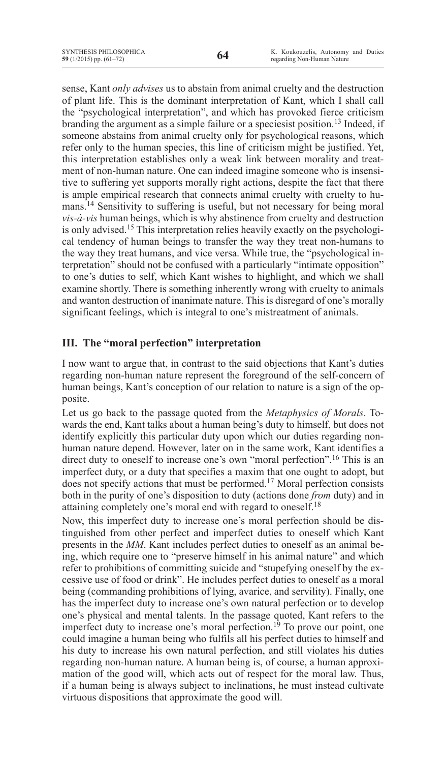sense, Kant *only advises* us to abstain from animal cruelty and the destruction of plant life. This is the dominant interpretation of Kant, which I shall call the "psychological interpretation", and which has provoked fierce criticism branding the argument as a simple failure or a speciesist position.<sup>13</sup> Indeed, if someone abstains from animal cruelty only for psychological reasons, which refer only to the human species, this line of criticism might be justified. Yet, this interpretation establishes only a weak link between morality and treatment of non-human nature. One can indeed imagine someone who is insensitive to suffering yet supports morally right actions, despite the fact that there is ample empirical research that connects animal cruelty with cruelty to humans.14 Sensitivity to suffering is useful, but not necessary for being moral *vis-à-vis* human beings, which is why abstinence from cruelty and destruction is only advised.15 This interpretation relies heavily exactly on the psychological tendency of human beings to transfer the way they treat non-humans to the way they treat humans, and vice versa. While true, the "psychological interpretation" should not be confused with a particularly "intimate opposition" to one's duties to self, which Kant wishes to highlight, and which we shall examine shortly. There is something inherently wrong with cruelty to animals and wanton destruction of inanimate nature. This is disregard of one's morally significant feelings, which is integral to one's mistreatment of animals.

# **III. The "moral perfection" interpretation**

I now want to argue that, in contrast to the said objections that Kant's duties regarding non-human nature represent the foreground of the self-concern of human beings, Kant's conception of our relation to nature is a sign of the opposite.

Let us go back to the passage quoted from the *Metaphysics of Morals*. Towards the end, Kant talks about a human being's duty to himself, but does not identify explicitly this particular duty upon which our duties regarding nonhuman nature depend. However, later on in the same work, Kant identifies a direct duty to oneself to increase one's own "moral perfection".<sup>16</sup> This is an imperfect duty, or a duty that specifies a maxim that one ought to adopt, but does not specify actions that must be performed.<sup>17</sup> Moral perfection consists both in the purity of one's disposition to duty (actions done *from* duty) and in attaining completely one's moral end with regard to oneself.18

Now, this imperfect duty to increase one's moral perfection should be distinguished from other perfect and imperfect duties to oneself which Kant presents in the *MM*. Kant includes perfect duties to oneself as an animal being, which require one to "preserve himself in his animal nature" and which refer to prohibitions of committing suicide and "stupefying oneself by the excessive use of food or drink". He includes perfect duties to oneself as a moral being (commanding prohibitions of lying, avarice, and servility). Finally, one has the imperfect duty to increase one's own natural perfection or to develop one's physical and mental talents. In the passage quoted, Kant refers to the imperfect duty to increase one's moral perfection.<sup>19</sup> To prove our point, one could imagine a human being who fulfils all his perfect duties to himself and his duty to increase his own natural perfection, and still violates his duties regarding non-human nature. A human being is, of course, a human approximation of the good will, which acts out of respect for the moral law. Thus, if a human being is always subject to inclinations, he must instead cultivate virtuous dispositions that approximate the good will.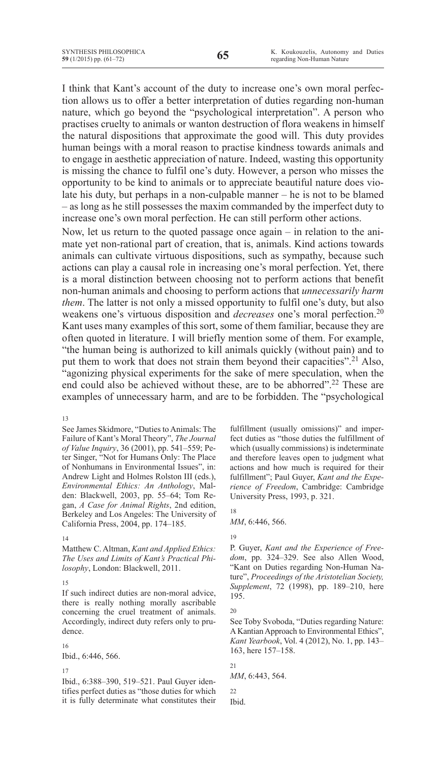I think that Kant's account of the duty to increase one's own moral perfection allows us to offer a better interpretation of duties regarding non-human nature, which go beyond the "psychological interpretation". A person who practises cruelty to animals or wanton destruction of flora weakens in himself the natural dispositions that approximate the good will. This duty provides human beings with a moral reason to practise kindness towards animals and to engage in aesthetic appreciation of nature. Indeed, wasting this opportunity is missing the chance to fulfil one's duty. However, a person who misses the opportunity to be kind to animals or to appreciate beautiful nature does violate his duty, but perhaps in a non-culpable manner – he is not to be blamed – as long as he still possesses the maxim commanded by the imperfect duty to increase one's own moral perfection. He can still perform other actions.

Now, let us return to the quoted passage once again – in relation to the animate yet non-rational part of creation, that is, animals. Kind actions towards animals can cultivate virtuous dispositions, such as sympathy, because such actions can play a causal role in increasing one's moral perfection. Yet, there is a moral distinction between choosing not to perform actions that benefit non-human animals and choosing to perform actions that *unnecessarily harm them*. The latter is not only a missed opportunity to fulfil one's duty, but also weakens one's virtuous disposition and *decreases* one's moral perfection.20 Kant uses many examples of this sort, some of them familiar, because they are often quoted in literature. I will briefly mention some of them. For example, "the human being is authorized to kill animals quickly (without pain) and to put them to work that does not strain them beyond their capacities".<sup>21</sup> Also, "agonizing physical experiments for the sake of mere speculation, when the end could also be achieved without these, are to be abhorred".<sup>22</sup> These are examples of unnecessary harm, and are to be forbidden. The "psychological

13

See James Skidmore, "Duties to Animals: The Failure of Kant's Moral Theory", *The Journal of Value Inquiry*, 36 (2001), pp. 541–559; Peter Singer, "Not for Humans Only: The Place of Nonhumans in Environmental Issues", in: Andrew Light and Holmes Rolston III (eds.), *Environmental Ethics: An Anthology*, Malden: Blackwell, 2003, pp. 55–64; Tom Regan, *A Case for Animal Rights*, 2nd edition, Berkeley and Los Angeles: The University of California Press, 2004, pp. 174–185.

#### 14

Matthew C. Altman, *Kant and Applied Ethics: The Uses and Limits of Kant's Practical Philosophy*, London: Blackwell, 2011.

#### 15

If such indirect duties are non-moral advice, there is really nothing morally ascribable concerning the cruel treatment of animals. Accordingly, indirect duty refers only to prudence.

16

Ibid., 6:446, 566.

17

Ibid., 6:388–390, 519–521. Paul Guyer identifies perfect duties as "those duties for which it is fully determinate what constitutes their fulfillment (usually omissions)" and imperfect duties as "those duties the fulfillment of which (usually commissions) is indeterminate and therefore leaves open to judgment what actions and how much is required for their fulfillment"; Paul Guyer, *Kant and the Experience of Freedom*, Cambridge: Cambridge University Press, 1993, p. 321.

18 *MM*, 6:446, 566.

19

P. Guyer, *Kant and the Experience of Freedom*, pp. 324–329. See also Allen Wood, "Kant on Duties regarding Non-Human Nature", *Proceedings of the Aristotelian Society, Supplement*, 72 (1998), pp. 189–210, here 195.

20

See Toby Svoboda, "Duties regarding Nature: A Kantian Approach to Environmental Ethics", *Kant Yearbook*, Vol. 4 (2012), No. 1, pp. 143– 163, here 157–158.

21

22

Ibid.

*MM*, 6:443, 564.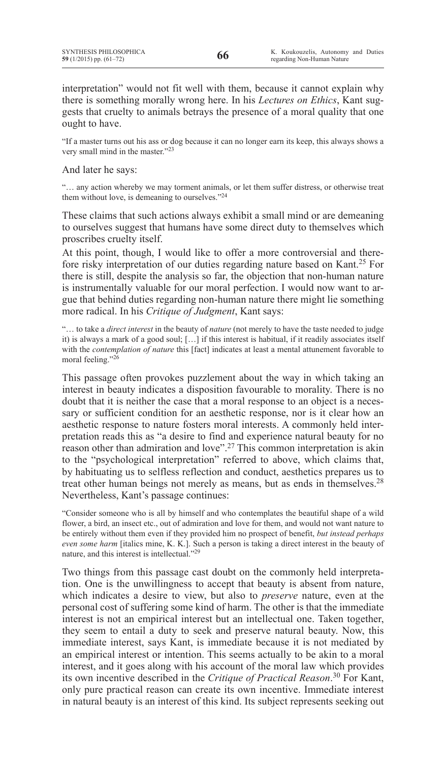interpretation" would not fit well with them, because it cannot explain why there is something morally wrong here. In his *Lectures on Ethics*, Kant suggests that cruelty to animals betrays the presence of a moral quality that one ought to have.

"If a master turns out his ass or dog because it can no longer earn its keep, this always shows a very small mind in the master."23

And later he says:

"… any action whereby we may torment animals, or let them suffer distress, or otherwise treat them without love, is demeaning to ourselves."24

These claims that such actions always exhibit a small mind or are demeaning to ourselves suggest that humans have some direct duty to themselves which proscribes cruelty itself.

At this point, though, I would like to offer a more controversial and therefore risky interpretation of our duties regarding nature based on Kant.25 For there is still, despite the analysis so far, the objection that non-human nature is instrumentally valuable for our moral perfection. I would now want to argue that behind duties regarding non-human nature there might lie something more radical. In his *Critique of Judgment*, Kant says:

"… to take a *direct interest* in the beauty of *nature* (not merely to have the taste needed to judge it) is always a mark of a good soul; […] if this interest is habitual, if it readily associates itself with the *contemplation of nature* this [fact] indicates at least a mental attunement favorable to moral feeling."<sup>26</sup>

This passage often provokes puzzlement about the way in which taking an interest in beauty indicates a disposition favourable to morality. There is no doubt that it is neither the case that a moral response to an object is a necessary or sufficient condition for an aesthetic response, nor is it clear how an aesthetic response to nature fosters moral interests. A commonly held interpretation reads this as "a desire to find and experience natural beauty for no reason other than admiration and love".<sup>27</sup> This common interpretation is akin to the "psychological interpretation" referred to above, which claims that, by habituating us to selfless reflection and conduct, aesthetics prepares us to treat other human beings not merely as means, but as ends in themselves.<sup>28</sup> Nevertheless, Kant's passage continues:

"Consider someone who is all by himself and who contemplates the beautiful shape of a wild flower, a bird, an insect etc., out of admiration and love for them, and would not want nature to be entirely without them even if they provided him no prospect of benefit, *but instead perhaps even some harm* [italics mine, K. K.]. Such a person is taking a direct interest in the beauty of nature, and this interest is intellectual."29

Two things from this passage cast doubt on the commonly held interpretation. One is the unwillingness to accept that beauty is absent from nature, which indicates a desire to view, but also to *preserve* nature, even at the personal cost of suffering some kind of harm. The other is that the immediate interest is not an empirical interest but an intellectual one. Taken together, they seem to entail a duty to seek and preserve natural beauty. Now, this immediate interest, says Kant, is immediate because it is not mediated by an empirical interest or intention. This seems actually to be akin to a moral interest, and it goes along with his account of the moral law which provides its own incentive described in the *Critique of Practical Reason*. <sup>30</sup> For Kant, only pure practical reason can create its own incentive. Immediate interest in natural beauty is an interest of this kind. Its subject represents seeking out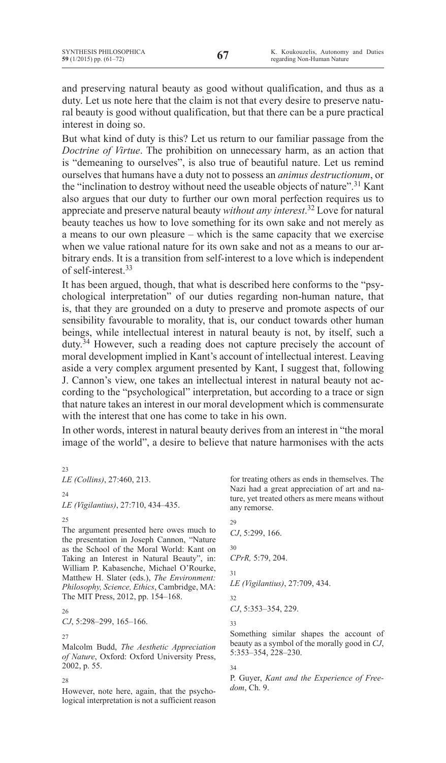and preserving natural beauty as good without qualification, and thus as a duty. Let us note here that the claim is not that every desire to preserve natural beauty is good without qualification, but that there can be a pure practical interest in doing so.

But what kind of duty is this? Let us return to our familiar passage from the *Doctrine of Virtue*. The prohibition on unnecessary harm, as an action that is "demeaning to ourselves", is also true of beautiful nature. Let us remind ourselves that humans have a duty not to possess an *animus destructionum*, or the "inclination to destroy without need the useable objects of nature".<sup>31</sup> Kant also argues that our duty to further our own moral perfection requires us to appreciate and preserve natural beauty *without any interest*. <sup>32</sup> Love for natural beauty teaches us how to love something for its own sake and not merely as a means to our own pleasure – which is the same capacity that we exercise when we value rational nature for its own sake and not as a means to our arbitrary ends. It is a transition from self-interest to a love which is independent of self-interest.33

It has been argued, though, that what is described here conforms to the "psychological interpretation" of our duties regarding non-human nature, that is, that they are grounded on a duty to preserve and promote aspects of our sensibility favourable to morality, that is, our conduct towards other human beings, while intellectual interest in natural beauty is not, by itself, such a duty.34 However, such a reading does not capture precisely the account of moral development implied in Kant's account of intellectual interest. Leaving aside a very complex argument presented by Kant, I suggest that, following J. Cannon's view, one takes an intellectual interest in natural beauty not according to the "psychological" interpretation, but according to a trace or sign that nature takes an interest in our moral development which is commensurate with the interest that one has come to take in his own.

In other words, interest in natural beauty derives from an interest in "the moral image of the world", a desire to believe that nature harmonises with the acts

| 23<br><i>LE (Collins)</i> , 27:460, 213. |  |
|------------------------------------------|--|
| 24<br>LE (Vigilantius), 27:710, 434–435. |  |
| 25                                       |  |

The argument presented here owes much to the presentation in Joseph Cannon, "Nature as the School of the Moral World: Kant on Taking an Interest in Natural Beauty", in: William P. Kabasenche, Michael O'Rourke, Matthew H. Slater (eds.), *The Environment: Philosophy, Science, Ethics*, Cambridge, MA: The MIT Press, 2012, pp. 154–168.

26 *CJ*, 5:298–299, 165–166.

27

Malcolm Budd, *The Aesthetic Appreciation of Nature*, Oxford: Oxford University Press, 2002, p. 55.

28

However, note here, again, that the psychological interpretation is not a sufficient reason for treating others as ends in themselves. The Nazi had a great appreciation of art and nature, yet treated others as mere means without any remorse.

 $29$ *CJ*, 5:299, 166. 30 *CPrR,* 5:79, 204. 31 *LE (Vigilantius)*, 27:709, 434. 32 *CJ*, 5:353–354, 229. 33 Something similar shapes the account of

beauty as a symbol of the morally good in *CJ*, 5:353–354, 228–230.

# 34

P. Guyer, *Kant and the Experience of Freedom*, Ch. 9.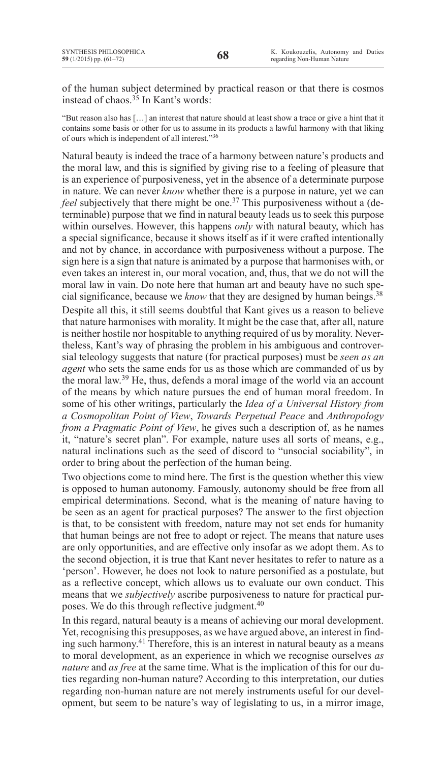of the human subject determined by practical reason or that there is cosmos instead of chaos.<sup>35</sup> In Kant's words:

"But reason also has […] an interest that nature should at least show a trace or give a hint that it contains some basis or other for us to assume in its products a lawful harmony with that liking of ours which is independent of all interest."36

Natural beauty is indeed the trace of a harmony between nature's products and the moral law, and this is signified by giving rise to a feeling of pleasure that is an experience of purposiveness, yet in the absence of a determinate purpose in nature. We can never *know* whether there is a purpose in nature, yet we can *feel* subjectively that there might be one.<sup>37</sup> This purposiveness without a (determinable) purpose that we find in natural beauty leads us to seek this purpose within ourselves. However, this happens *only* with natural beauty, which has a special significance, because it shows itself as if it were crafted intentionally and not by chance, in accordance with purposiveness without a purpose. The sign here is a sign that nature is animated by a purpose that harmonises with, or even takes an interest in, our moral vocation, and, thus, that we do not will the moral law in vain. Do note here that human art and beauty have no such special significance, because we *know* that they are designed by human beings.<sup>38</sup> Despite all this, it still seems doubtful that Kant gives us a reason to believe that nature harmonises with morality. It might be the case that, after all, nature is neither hostile nor hospitable to anything required of us by morality. Nevertheless, Kant's way of phrasing the problem in his ambiguous and controversial teleology suggests that nature (for practical purposes) must be *seen as an agent* who sets the same ends for us as those which are commanded of us by the moral law.<sup>39</sup> He, thus, defends a moral image of the world via an account of the means by which nature pursues the end of human moral freedom. In some of his other writings, particularly the *Idea of a Universal History from a Cosmopolitan Point of View*, *Towards Perpetual Peace* and *Anthropology from a Pragmatic Point of View*, he gives such a description of, as he names it, "nature's secret plan". For example, nature uses all sorts of means, e.g., natural inclinations such as the seed of discord to "unsocial sociability", in order to bring about the perfection of the human being.

Two objections come to mind here. The first is the question whether this view is opposed to human autonomy. Famously, autonomy should be free from all empirical determinations. Second, what is the meaning of nature having to be seen as an agent for practical purposes? The answer to the first objection is that, to be consistent with freedom, nature may not set ends for humanity that human beings are not free to adopt or reject. The means that nature uses are only opportunities, and are effective only insofar as we adopt them. As to the second objection, it is true that Kant never hesitates to refer to nature as a 'person'. However, he does not look to nature personified as a postulate, but as a reflective concept, which allows us to evaluate our own conduct. This means that we *subjectively* ascribe purposiveness to nature for practical purposes. We do this through reflective judgment.<sup>40</sup>

In this regard, natural beauty is a means of achieving our moral development. Yet, recognising this presupposes, as we have argued above, an interest in finding such harmony.<sup>41</sup> Therefore, this is an interest in natural beauty as a means to moral development, as an experience in which we recognise ourselves *as nature* and *as free* at the same time. What is the implication of this for our duties regarding non-human nature? According to this interpretation, our duties regarding non-human nature are not merely instruments useful for our development, but seem to be nature's way of legislating to us, in a mirror image,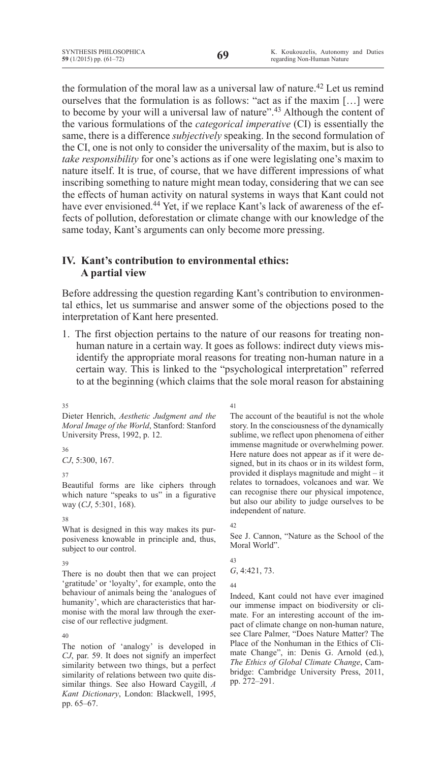the formulation of the moral law as a universal law of nature.<sup>42</sup> Let us remind ourselves that the formulation is as follows: "act as if the maxim […] were to become by your will a universal law of nature".<sup>43</sup> Although the content of the various formulations of the *categorical imperative* (CI) is essentially the same, there is a difference *subjectively* speaking. In the second formulation of the CI, one is not only to consider the universality of the maxim, but is also to *take responsibility* for one's actions as if one were legislating one's maxim to nature itself. It is true, of course, that we have different impressions of what inscribing something to nature might mean today, considering that we can see the effects of human activity on natural systems in ways that Kant could not have ever envisioned.<sup>44</sup> Yet, if we replace Kant's lack of awareness of the effects of pollution, deforestation or climate change with our knowledge of the same today, Kant's arguments can only become more pressing.

# **IV. Kant's contribution to environmental ethics: A partial view**

Before addressing the question regarding Kant's contribution to environmental ethics, let us summarise and answer some of the objections posed to the interpretation of Kant here presented.

1. The first objection pertains to the nature of our reasons for treating nonhuman nature in a certain way. It goes as follows: indirect duty views misidentify the appropriate moral reasons for treating non-human nature in a certain way. This is linked to the "psychological interpretation" referred to at the beginning (which claims that the sole moral reason for abstaining

35

Dieter Henrich, *Aesthetic Judgment and the Moral Image of the World*, Stanford: Stanford University Press, 1992, p. 12.

36

*CJ*, 5:300, 167.

## 37

Beautiful forms are like ciphers through which nature "speaks to us" in a figurative way (*CJ*, 5:301, 168).

## 38

What is designed in this way makes its purposiveness knowable in principle and, thus, subject to our control.

# 39

There is no doubt then that we can project 'gratitude' or 'loyalty', for example, onto the behaviour of animals being the 'analogues of humanity', which are characteristics that harmonise with the moral law through the exercise of our reflective judgment.

40

The notion of 'analogy' is developed in *CJ*, par. 59. It does not signify an imperfect similarity between two things, but a perfect similarity of relations between two quite dissimilar things. See also Howard Caygill, *A Kant Dictionary*, London: Blackwell, 1995, pp. 65–67.

41

The account of the beautiful is not the whole story. In the consciousness of the dynamically sublime, we reflect upon phenomena of either immense magnitude or overwhelming power. Here nature does not appear as if it were designed, but in its chaos or in its wildest form, provided it displays magnitude and might – it relates to tornadoes, volcanoes and war. We can recognise there our physical impotence, but also our ability to judge ourselves to be independent of nature.

 $42$ 

See J. Cannon, "Nature as the School of the Moral World".

43 *G*, 4:421, 73.

44

Indeed, Kant could not have ever imagined our immense impact on biodiversity or climate. For an interesting account of the impact of climate change on non-human nature, see Clare Palmer, "Does Nature Matter? The Place of the Nonhuman in the Ethics of Climate Change", in: Denis G. Arnold (ed.), *The Ethics of Global Climate Change*, Cambridge: Cambridge University Press, 2011, pp. 272–291.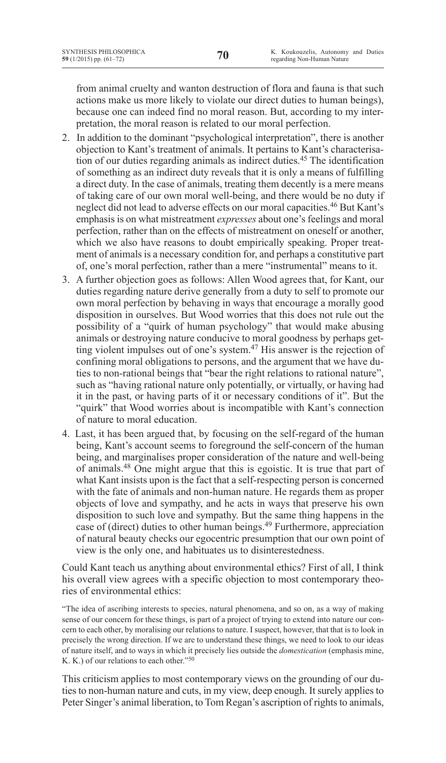from animal cruelty and wanton destruction of flora and fauna is that such actions make us more likely to violate our direct duties to human beings), because one can indeed find no moral reason. But, according to my interpretation, the moral reason is related to our moral perfection.

- 2. In addition to the dominant "psychological interpretation", there is another objection to Kant's treatment of animals. It pertains to Kant's characterisation of our duties regarding animals as indirect duties.45 The identification of something as an indirect duty reveals that it is only a means of fulfilling a direct duty. In the case of animals, treating them decently is a mere means of taking care of our own moral well-being, and there would be no duty if neglect did not lead to adverse effects on our moral capacities.46 But Kant's emphasis is on what mistreatment *expresses* about one's feelings and moral perfection, rather than on the effects of mistreatment on oneself or another, which we also have reasons to doubt empirically speaking. Proper treatment of animals is a necessary condition for, and perhaps a constitutive part of, one's moral perfection, rather than a mere "instrumental" means to it.
- 3. A further objection goes as follows: Allen Wood agrees that, for Kant, our duties regarding nature derive generally from a duty to self to promote our own moral perfection by behaving in ways that encourage a morally good disposition in ourselves. But Wood worries that this does not rule out the possibility of a "quirk of human psychology" that would make abusing animals or destroying nature conducive to moral goodness by perhaps getting violent impulses out of one's system.<sup>47</sup> His answer is the rejection of confining moral obligations to persons, and the argument that we have duties to non-rational beings that "bear the right relations to rational nature", such as "having rational nature only potentially, or virtually, or having had it in the past, or having parts of it or necessary conditions of it". But the "quirk" that Wood worries about is incompatible with Kant's connection of nature to moral education.
- 4. Last, it has been argued that, by focusing on the self-regard of the human being, Kant's account seems to foreground the self-concern of the human being, and marginalises proper consideration of the nature and well-being of animals.48 One might argue that this is egoistic. It is true that part of what Kant insists upon is the fact that a self-respecting person is concerned with the fate of animals and non-human nature. He regards them as proper objects of love and sympathy, and he acts in ways that preserve his own disposition to such love and sympathy. But the same thing happens in the case of (direct) duties to other human beings.49 Furthermore, appreciation of natural beauty checks our egocentric presumption that our own point of view is the only one, and habituates us to disinterestedness.

Could Kant teach us anything about environmental ethics? First of all, I think his overall view agrees with a specific objection to most contemporary theories of environmental ethics:

"The idea of ascribing interests to species, natural phenomena, and so on, as a way of making sense of our concern for these things, is part of a project of trying to extend into nature our concern to each other, by moralising our relations to nature. I suspect, however, that that is to look in precisely the wrong direction. If we are to understand these things, we need to look to our ideas of nature itself, and to ways in which it precisely lies outside the *domestication* (emphasis mine, K. K.) of our relations to each other."50

This criticism applies to most contemporary views on the grounding of our duties to non-human nature and cuts, in my view, deep enough. It surely applies to Peter Singer's animal liberation, to Tom Regan's ascription of rights to animals,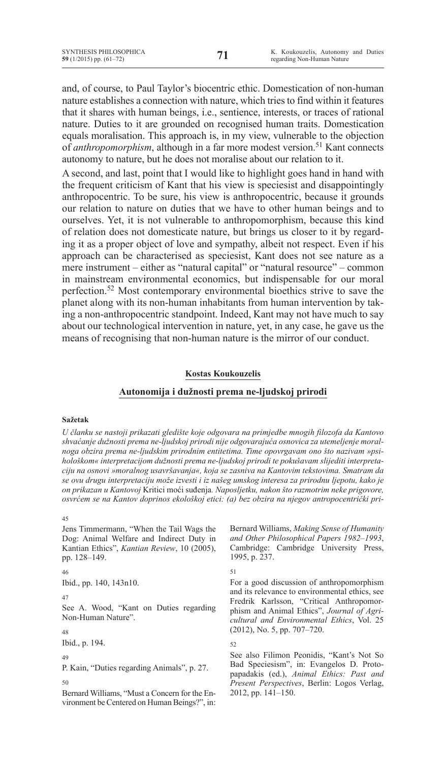and, of course, to Paul Taylor's biocentric ethic. Domestication of non-human nature establishes a connection with nature, which triesto find within it features that it shares with human beings, i.e., sentience, interests, or traces of rational nature. Duties to it are grounded on recognised human traits. Domestication equals moralisation. This approach is, in my view, vulnerable to the objection of *anthropomorphism*, although in a far more modest version.<sup>51</sup> Kant connects autonomy to nature, but he does not moralise about our relation to it.

A second, and last, point that I would like to highlight goes hand in hand with the frequent criticism of Kant that his view is speciesist and disappointingly anthropocentric. To be sure, his view is anthropocentric, because it grounds our relation to nature on duties that we have to other human beings and to ourselves. Yet, it is not vulnerable to anthropomorphism, because this kind of relation does not domesticate nature, but brings us closer to it by regarding it as a proper object of love and sympathy, albeit not respect. Even if his approach can be characterised as speciesist, Kant does not see nature as a mere instrument – either as "natural capital" or "natural resource" – common in mainstream environmental economics, but indispensable for our moral perfection.52 Most contemporary environmental bioethics strive to save the planet along with its non-human inhabitants from human intervention by taking a non-anthropocentric standpoint. Indeed, Kant may not have much to say about our technological intervention in nature, yet, in any case, he gave us the means of recognising that non-human nature is the mirror of our conduct.

## **Kostas Koukouzelis**

# **Autonomija i dužnosti prema ne-ljudskoj prirodi**

## **Sažetak**

*U članku se nastoji prikazati gledište koje odgovara na primjedbe mnogih filozofa da Kantovo shvaćanje dužnosti prema ne-ljudskoj prirodi nije odgovarajuća osnovica za utemeljenje moralnoga obzira prema ne-ljudskim prirodnim entitetima. Time opovrgavam ono što nazivam »psihološkom« interpretacijom dužnosti prema ne-ljudskoj prirodi te pokušavam slijediti interpretaciju na osnovi »moralnog usavršavanja«, koja se zasniva na Kantovim tekstovima. Smatram da se ovu drugu interpretaciju može izvesti i iz našeg umskog interesa za prirodnu ljepotu, kako je on prikazan u Kantovoj* Kritici moći suđenja*. Naposljetku, nakon što razmotrim neke prigovore, osvrćem se na Kantov doprinos ekološkoj etici: (a) bez obzira na njegov antropocentrički pri-*

#### $\overline{45}$

Jens Timmermann, "When the Tail Wags the Dog: Animal Welfare and Indirect Duty in Kantian Ethics", *Kantian Review*, 10 (2005), pp. 128–149.

## 46

Ibid., pp. 140, 143n10.

#### 47

See A. Wood, "Kant on Duties regarding Non-Human Nature".

48

Ibid., p. 194.

## 49

P. Kain, "Duties regarding Animals", p. 27.

#### 50

Bernard Williams, "Must a Concern for the Environment be Centered on Human Beings?", in: Bernard Williams, *Making Sense of Humanity and Other Philosophical Papers 1982–1993*, Cambridge: Cambridge University Press, 1995, p. 237.

# 51

For a good discussion of anthropomorphism and its relevance to environmental ethics, see Fredrik Karlsson, "Critical Anthropomorphism and Animal Ethics", *Journal of Agricultural and Environmental Ethics*, Vol. 25 (2012), No. 5, pp. 707–720.

## 52

See also Filimon Peonidis, "Kant's Not So Bad Speciesism", in: Evangelos D. Protopapadakis (ed.), *Animal Ethics: Past and Present Perspectives*, Berlin: Logos Verlag, 2012, pp. 141–150.